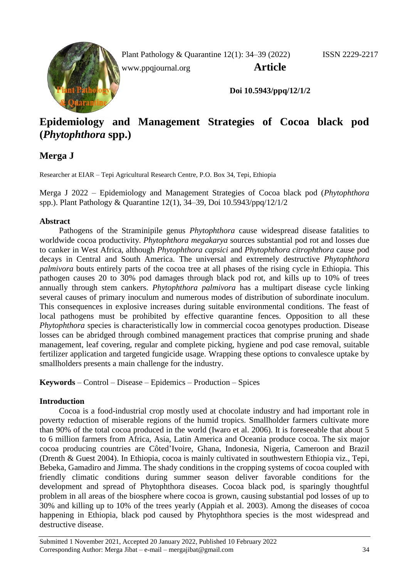

Plant Pathology & Quarantine 12(1): 34–39 (2022) ISSN 2229-2217

[www.ppqjournal.org](http://www.ppqjournal.org/) **Article**

**Doi 10.5943/ppq/12/1/2**

# **Epidemiology and Management Strategies of Cocoa black pod (***Phytophthora* **spp.)**

## **Merga J**

Researcher at EIAR – Tepi Agricultural Research Centre, P.O. Box 34, Tepi, Ethiopia

Merga J 2022 – Epidemiology and Management Strategies of Cocoa black pod (*Phytophthora*  spp.). Plant Pathology & Quarantine 12(1), 34–39, Doi 10.5943/ppq/12/1/2

## **Abstract**

Pathogens of the Straminipile genus *Phytophthora* cause widespread disease fatalities to worldwide cocoa productivity. *Phytophthora megakarya* sources substantial pod rot and losses due to canker in West Africa, although *Phytophthora capsici* and *Phytophthora citrophthora* cause pod decays in Central and South America. The universal and extremely destructive *Phytophthora palmivora* bouts entirely parts of the cocoa tree at all phases of the rising cycle in Ethiopia. This pathogen causes 20 to 30% pod damages through black pod rot, and kills up to 10% of trees annually through stem cankers. *Phytophthora palmivora* has a multipart disease cycle linking several causes of primary inoculum and numerous modes of distribution of subordinate inoculum. This consequences in explosive increases during suitable environmental conditions. The feast of local pathogens must be prohibited by effective quarantine fences. Opposition to all these *Phytophthora* species is characteristically low in commercial cocoa genotypes production. Disease losses can be abridged through combined management practices that comprise pruning and shade management, leaf covering, regular and complete picking, hygiene and pod case removal, suitable fertilizer application and targeted fungicide usage. Wrapping these options to convalesce uptake by smallholders presents a main challenge for the industry.

**Keywords** – Control – Disease – Epidemics – Production – Spices

## **Introduction**

Cocoa is a food-industrial crop mostly used at chocolate industry and had important role in poverty reduction of miserable regions of the humid tropics. Smallholder farmers cultivate more than 90% of the total cocoa produced in the world (Iwaro et al. 2006). It is foreseeable that about 5 to 6 million farmers from Africa, Asia, Latin America and Oceania produce cocoa. The six major cocoa producing countries are Côted'Ivoire, Ghana, Indonesia, Nigeria, Cameroon and Brazil (Drenth & Guest 2004). In Ethiopia, cocoa is mainly cultivated in southwestern Ethiopia viz., Tepi, Bebeka, Gamadiro and Jimma. The shady conditions in the cropping systems of cocoa coupled with friendly climatic conditions during summer season deliver favorable conditions for the development and spread of Phytophthora diseases. Cocoa black pod, is sparingly thoughtful problem in all areas of the biosphere where cocoa is grown, causing substantial pod losses of up to 30% and killing up to 10% of the trees yearly (Appiah et al. 2003). Among the diseases of cocoa happening in Ethiopia, black pod caused by Phytophthora species is the most widespread and destructive disease.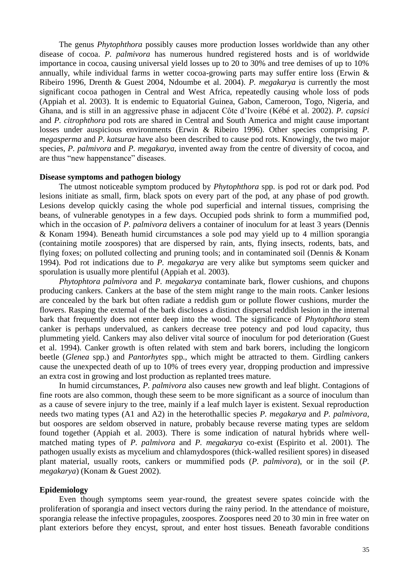The genus *Phytophthora* possibly causes more production losses worldwide than any other disease of cocoa. *P. palmivora* has numerous hundred registered hosts and is of worldwide importance in cocoa, causing universal yield losses up to 20 to 30% and tree demises of up to 10% annually, while individual farms in wetter cocoa-growing parts may suffer entire loss (Erwin & Ribeiro 1996, Drenth & Guest 2004, Ndoumbe et al. 2004). *P. megakarya* is currently the most significant cocoa pathogen in Central and West Africa, repeatedly causing whole loss of pods (Appiah et al. 2003). It is endemic to Equatorial Guinea, Gabon, Cameroon, Togo, Nigeria, and Ghana, and is still in an aggressive phase in adjacent Côte d'Ivoire (Kébé et al. 2002). *P. capsici*  and *P. citrophthora* pod rots are shared in Central and South America and might cause important losses under auspicious environments (Erwin & Ribeiro 1996). Other species comprising *P. megasperma* and *P. katsurae* have also been described to cause pod rots. Knowingly, the two major species, *P. palmivora* and *P. megakarya*, invented away from the centre of diversity of cocoa, and are thus "new happenstance" diseases.

#### **Disease symptoms and pathogen biology**

The utmost noticeable symptom produced by *Phytophthora* spp. is pod rot or dark pod. Pod lesions initiate as small, firm, black spots on every part of the pod, at any phase of pod growth. Lesions develop quickly casing the whole pod superficial and internal tissues, comprising the beans, of vulnerable genotypes in a few days. Occupied pods shrink to form a mummified pod, which in the occasion of *P. palmivora* delivers a container of inoculum for at least 3 years (Dennis & Konam 1994). Beneath humid circumstances a sole pod may yield up to 4 million sporangia (containing motile zoospores) that are dispersed by rain, ants, flying insects, rodents, bats, and flying foxes; on polluted collecting and pruning tools; and in contaminated soil (Dennis & Konam 1994). Pod rot indications due to *P. megakarya* are very alike but symptoms seem quicker and sporulation is usually more plentiful (Appiah et al. 2003).

*Phytophtora palmivora* and *P. megakarya* contaminate bark, flower cushions, and chupons producing cankers. Cankers at the base of the stem might range to the main roots. Canker lesions are concealed by the bark but often radiate a reddish gum or pollute flower cushions, murder the flowers. Rasping the external of the bark discloses a distinct dispersal reddish lesion in the internal bark that frequently does not enter deep into the wood. The significance of *Phytophthora* stem canker is perhaps undervalued, as cankers decrease tree potency and pod loud capacity, thus plummeting yield. Cankers may also deliver vital source of inoculum for pod deterioration (Guest et al. 1994). Canker growth is often related with stem and bark borers, including the longicorn beetle (*Glenea* spp.) and *Pantorhytes* spp., which might be attracted to them. Girdling cankers cause the unexpected death of up to 10% of trees every year, dropping production and impressive an extra cost in growing and lost production as replanted trees mature.

In humid circumstances, *P. palmivora* also causes new growth and leaf blight. Contagions of fine roots are also common, though these seem to be more significant as a source of inoculum than as a cause of severe injury to the tree, mainly if a leaf mulch layer is existent. Sexual reproduction needs two mating types (A1 and A2) in the heterothallic species *P. megakarya* and *P. palmivora*, but oospores are seldom observed in nature, probably because reverse mating types are seldom found together (Appiah et al. 2003). There is some indication of natural hybrids where wellmatched mating types of *P. palmivora* and *P. megakarya* co-exist (Espirito et al. 2001). The pathogen usually exists as mycelium and chlamydospores (thick-walled resilient spores) in diseased plant material, usually roots, cankers or mummified pods (*P. palmivora*), or in the soil (*P. megakarya*) (Konam & Guest 2002).

#### **Epidemiology**

Even though symptoms seem year-round, the greatest severe spates coincide with the proliferation of sporangia and insect vectors during the rainy period. In the attendance of moisture, sporangia release the infective propagules, zoospores. Zoospores need 20 to 30 min in free water on plant exteriors before they encyst, sprout, and enter host tissues. Beneath favorable conditions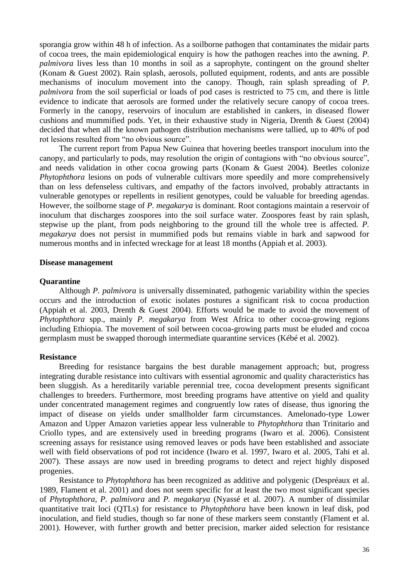sporangia grow within 48 h of infection. As a soilborne pathogen that contaminates the midair parts of cocoa trees, the main epidemiological enquiry is how the pathogen reaches into the awning. *P. palmivora* lives less than 10 months in soil as a saprophyte, contingent on the ground shelter (Konam & Guest 2002). Rain splash, aerosols, polluted equipment, rodents, and ants are possible mechanisms of inoculum movement into the canopy. Though, rain splash spreading of *P. palmivora* from the soil superficial or loads of pod cases is restricted to 75 cm, and there is little evidence to indicate that aerosols are formed under the relatively secure canopy of cocoa trees. Formerly in the canopy, reservoirs of inoculum are established in cankers, in diseased flower cushions and mummified pods. Yet, in their exhaustive study in Nigeria, Drenth & Guest (2004) decided that when all the known pathogen distribution mechanisms were tallied, up to 40% of pod rot lesions resulted from "no obvious source".

The current report from Papua New Guinea that hovering beetles transport inoculum into the canopy, and particularly to pods, may resolution the origin of contagions with "no obvious source", and needs validation in other cocoa growing parts (Konam & Guest 2004). Beetles colonize *Phytophthora* lesions on pods of vulnerable cultivars more speedily and more comprehensively than on less defenseless cultivars, and empathy of the factors involved, probably attractants in vulnerable genotypes or repellents in resilient genotypes, could be valuable for breeding agendas. However, the soilborne stage of *P. megakarya* is dominant. Root contagions maintain a reservoir of inoculum that discharges zoospores into the soil surface water. Zoospores feast by rain splash, stepwise up the plant, from pods neighboring to the ground till the whole tree is affected*. P. megakarya* does not persist in mummified pods but remains viable in bark and sapwood for numerous months and in infected wreckage for at least 18 months (Appiah et al. 2003).

#### **Disease management**

#### **Quarantine**

Although *P. palmivora* is universally disseminated, pathogenic variability within the species occurs and the introduction of exotic isolates postures a significant risk to cocoa production (Appiah et al. 2003, Drenth & Guest 2004). Efforts would be made to avoid the movement of *Phytophthora* spp., mainly *P. megakarya* from West Africa to other cocoa-growing regions including Ethiopia. The movement of soil between cocoa-growing parts must be eluded and cocoa germplasm must be swapped thorough intermediate quarantine services (Kébé et al. 2002).

#### **Resistance**

Breeding for resistance bargains the best durable management approach; but, progress integrating durable resistance into cultivars with essential agronomic and quality characteristics has been sluggish. As a hereditarily variable perennial tree, cocoa development presents significant challenges to breeders. Furthermore, most breeding programs have attentive on yield and quality under concentrated management regimes and congruently low rates of disease, thus ignoring the impact of disease on yields under smallholder farm circumstances. Amelonado-type Lower Amazon and Upper Amazon varieties appear less vulnerable to *Phytophthora* than Trinitario and Criollo types, and are extensively used in breeding programs (Iwaro et al. 2006). Consistent screening assays for resistance using removed leaves or pods have been established and associate well with field observations of pod rot incidence (Iwaro et al. 1997, Iwaro et al. 2005, Tahi et al. 2007). These assays are now used in breeding programs to detect and reject highly disposed progenies.

Resistance to *Phytophthora* has been recognized as additive and polygenic (Despréaux et al. 1989, Flament et al. 2001) and does not seem specific for at least the two most significant species of *Phytophthora*, *P. palmivora* and *P. megakarya* (Nyassé et al. 2007). A number of dissimilar quantitative trait loci (QTLs) for resistance to *Phytophthora* have been known in leaf disk, pod inoculation, and field studies, though so far none of these markers seem constantly (Flament et al. 2001). However, with further growth and better precision, marker aided selection for resistance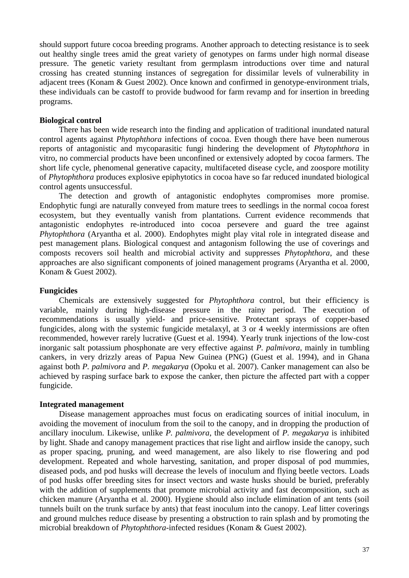should support future cocoa breeding programs. Another approach to detecting resistance is to seek out healthy single trees amid the great variety of genotypes on farms under high normal disease pressure. The genetic variety resultant from germplasm introductions over time and natural crossing has created stunning instances of segregation for dissimilar levels of vulnerability in adjacent trees (Konam & Guest 2002). Once known and confirmed in genotype-environment trials, these individuals can be castoff to provide budwood for farm revamp and for insertion in breeding programs.

#### **Biological control**

There has been wide research into the finding and application of traditional inundated natural control agents against *Phytophthora* infections of cocoa. Even though there have been numerous reports of antagonistic and mycoparasitic fungi hindering the development of *Phytophthora* in vitro, no commercial products have been unconfined or extensively adopted by cocoa farmers. The short life cycle, phenomenal generative capacity, multifaceted disease cycle, and zoospore motility of *Phytophthora* produces explosive epiphytotics in cocoa have so far reduced inundated biological control agents unsuccessful.

The detection and growth of antagonistic endophytes compromises more promise. Endophytic fungi are naturally conveyed from mature trees to seedlings in the normal cocoa forest ecosystem, but they eventually vanish from plantations. Current evidence recommends that antagonistic endophytes re-introduced into cocoa persevere and guard the tree against *Phytophthora* (Aryantha et al. 2000). Endophytes might play vital role in integrated disease and pest management plans. Biological conquest and antagonism following the use of coverings and composts recovers soil health and microbial activity and suppresses *Phytophthora*, and these approaches are also significant components of joined management programs (Aryantha et al. 2000, Konam & Guest 2002).

#### **Fungicides**

Chemicals are extensively suggested for *Phytophthora* control, but their efficiency is variable, mainly during high-disease pressure in the rainy period. The execution of recommendations is usually yield- and price-sensitive. Protectant sprays of copper-based fungicides, along with the systemic fungicide metalaxyl, at 3 or 4 weekly intermissions are often recommended, however rarely lucrative (Guest et al. 1994). Yearly trunk injections of the low-cost inorganic salt potassium phosphonate are very effective against *P. palmivora*, mainly in tumbling cankers, in very drizzly areas of Papua New Guinea (PNG) (Guest et al. 1994), and in Ghana against both *P. palmivora* and *P. megakarya* (Opoku et al. 2007). Canker management can also be achieved by rasping surface bark to expose the canker, then picture the affected part with a copper fungicide.

#### **Integrated management**

Disease management approaches must focus on eradicating sources of initial inoculum, in avoiding the movement of inoculum from the soil to the canopy, and in dropping the production of ancillary inoculum. Likewise, unlike *P. palmivora*, the development of *P. megakarya* is inhibited by light. Shade and canopy management practices that rise light and airflow inside the canopy, such as proper spacing, pruning, and weed management, are also likely to rise flowering and pod development. Repeated and whole harvesting, sanitation, and proper disposal of pod mummies, diseased pods, and pod husks will decrease the levels of inoculum and flying beetle vectors. Loads of pod husks offer breeding sites for insect vectors and waste husks should be buried, preferably with the addition of supplements that promote microbial activity and fast decomposition, such as chicken manure (Aryantha et al. 2000). Hygiene should also include elimination of ant tents (soil tunnels built on the trunk surface by ants) that feast inoculum into the canopy. Leaf litter coverings and ground mulches reduce disease by presenting a obstruction to rain splash and by promoting the microbial breakdown of *Phytophthora*-infected residues (Konam & Guest 2002).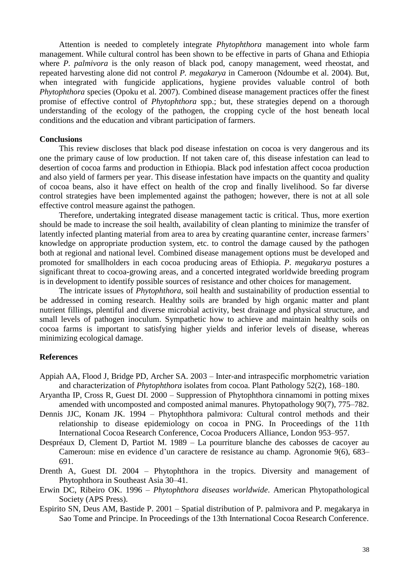Attention is needed to completely integrate *Phytophthora* management into whole farm management. While cultural control has been shown to be effective in parts of Ghana and Ethiopia where *P. palmivora* is the only reason of black pod, canopy management, weed rheostat, and repeated harvesting alone did not control *P. megakarya* in Cameroon (Ndoumbe et al. 2004). But, when integrated with fungicide applications, hygiene provides valuable control of both *Phytophthora* species (Opoku et al. 2007). Combined disease management practices offer the finest promise of effective control of *Phytophthora* spp.; but, these strategies depend on a thorough understanding of the ecology of the pathogen, the cropping cycle of the host beneath local conditions and the education and vibrant participation of farmers.

#### **Conclusions**

This review discloses that black pod disease infestation on cocoa is very dangerous and its one the primary cause of low production. If not taken care of, this disease infestation can lead to desertion of cocoa farms and production in Ethiopia. Black pod infestation affect cocoa production and also yield of farmers per year. This disease infestation have impacts on the quantity and quality of cocoa beans, also it have effect on health of the crop and finally livelihood. So far diverse control strategies have been implemented against the pathogen; however, there is not at all sole effective control measure against the pathogen.

Therefore, undertaking integrated disease management tactic is critical. Thus, more exertion should be made to increase the soil health, availability of clean planting to minimize the transfer of latently infected planting material from area to area by creating quarantine center, increase farmers' knowledge on appropriate production system, etc. to control the damage caused by the pathogen both at regional and national level. Combined disease management options must be developed and promoted for smallholders in each cocoa producing areas of Ethiopia. *P. megakarya* postures a significant threat to cocoa-growing areas, and a concerted integrated worldwide breeding program is in development to identify possible sources of resistance and other choices for management.

The intricate issues of *Phytophthora*, soil health and sustainability of production essential to be addressed in coming research. Healthy soils are branded by high organic matter and plant nutrient fillings, plentiful and diverse microbial activity, best drainage and physical structure, and small levels of pathogen inoculum. Sympathetic how to achieve and maintain healthy soils on cocoa farms is important to satisfying higher yields and inferior levels of disease, whereas minimizing ecological damage.

#### **References**

- Appiah AA, Flood J, Bridge PD, Archer SA. 2003 Inter‐and intraspecific morphometric variation and characterization of *Phytophthora* isolates from cocoa. Plant Pathology 52(2), 168–180.
- Aryantha IP, Cross R, Guest DI. 2000 Suppression of Phytophthora cinnamomi in potting mixes amended with uncomposted and composted animal manures. Phytopathology 90(7), 775–782.
- Dennis JJC, Konam JK. 1994 Phytophthora palmivora: Cultural control methods and their relationship to disease epidemiology on cocoa in PNG. In Proceedings of the 11th International Cocoa Research Conference, Cocoa Producers Alliance, London 953–957.
- Despréaux D, Clement D, Partiot M. 1989 La pourriture blanche des cabosses de cacoyer au Cameroun: mise en evidence d'un caractere de resistance au champ. Agronomie 9(6), 683– 691.
- Drenth A, Guest DI. 2004 Phytophthora in the tropics. Diversity and management of Phytophthora in Southeast Asia 30–41.
- Erwin DC, Ribeiro OK. 1996 *Phytophthora diseases worldwide*. American Phytopathological Society (APS Press).
- Espirito SN, Deus AM, Bastide P. 2001 Spatial distribution of P. palmivora and P. megakarya in Sao Tome and Principe. In Proceedings of the 13th International Cocoa Research Conference.